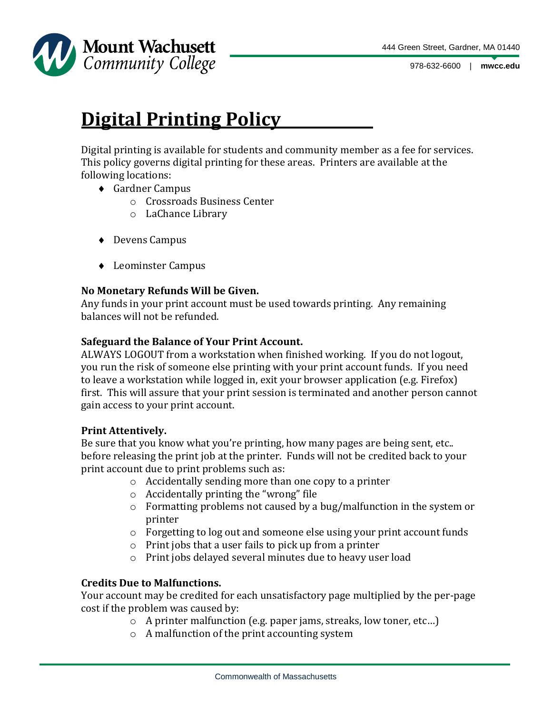

978-632-6600 | **mwcc.edu**

# **Digital Printing Policy**

Digital printing is available for students and community member as a fee for services. This policy governs digital printing for these areas. Printers are available at the following locations:

- Gardner Campus
	- o Crossroads Business Center
	- o LaChance Library
- ◆ Devens Campus
- ◆ Leominster Campus

#### **No Monetary Refunds Will be Given.**

Any funds in your print account must be used towards printing. Any remaining balances will not be refunded.

#### **Safeguard the Balance of Your Print Account.**

ALWAYS LOGOUT from a workstation when finished working. If you do not logout, you run the risk of someone else printing with your print account funds. If you need to leave a workstation while logged in, exit your browser application (e.g. Firefox) first. This will assure that your print session is terminated and another person cannot gain access to your print account.

#### **Print Attentively.**

Be sure that you know what you're printing, how many pages are being sent, etc.. before releasing the print job at the printer. Funds will not be credited back to your print account due to print problems such as:

- o Accidentally sending more than one copy to a printer
- o Accidentally printing the "wrong" file
- o Formatting problems not caused by a bug/malfunction in the system or printer
- $\circ$  Forgetting to log out and someone else using your print account funds
- o Print jobs that a user fails to pick up from a printer
- o Print jobs delayed several minutes due to heavy user load

### **Credits Due to Malfunctions.**

Your account may be credited for each unsatisfactory page multiplied by the per-page cost if the problem was caused by:

- o A printer malfunction (e.g. paper jams, streaks, low toner, etc…)
- o A malfunction of the print accounting system